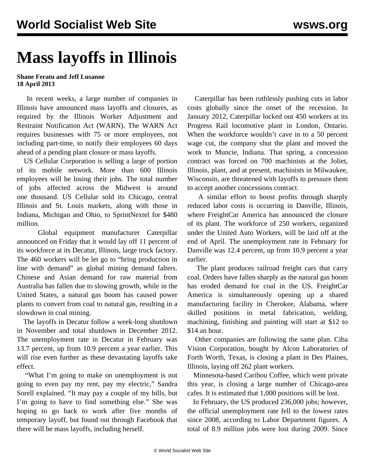## **Mass layoffs in Illinois**

## **Shane Feratu and Jeff Lusanne 18 April 2013**

 In recent weeks, a large number of companies in Illinois have announced mass layoffs and closures, as required by the Illinois Worker Adjustment and Restraint Notification Act (WARN). The WARN Act requires businesses with 75 or more employees, not including part-time, to notify their employees 60 days ahead of a pending plant closure or mass layoffs.

 US Cellular Corporation is selling a large of portion of its mobile network. More than 600 Illinois employees will be losing their jobs. The total number of jobs affected across the Midwest is around one thousand. US Cellular sold its Chicago, central Illinois and St. Louis markets, along with those in Indiana, Michigan and Ohio, to SprintNextel for \$480 million.

 Global equipment manufacturer Caterpillar announced on Friday that it would lay off 11 percent of its workforce at its Decatur, Illinois, large truck factory. The 460 workers will be let go to "bring production in line with demand" as global mining demand falters. Chinese and Asian demand for raw material from Australia has fallen due to slowing growth, while in the United States, a natural gas boom has caused power plants to convert from coal to natural gas, resulting in a slowdown in coal mining.

 The layoffs in Decatur follow a week-long shutdown in November and total shutdown in December 2012. The unemployment rate in Decatur in February was 13.7 percent, up from 10.9 percent a year earlier. This will rise even further as these devastating layoffs take effect.

 "What I'm going to make on unemployment is not going to even pay my rent, pay my electric," Sandra Sorell explained. "It may pay a couple of my bills, but I'm going to have to find something else." She was hoping to go back to work after five months of temporary layoff, but found out through Facebook that there will be mass layoffs, including herself.

 Caterpillar has been ruthlessly pushing cuts in labor costs globally since the onset of the recession. In January 2012, Caterpillar locked out 450 workers at its Progress Rail locomotive plant in London, Ontario. When the workforce wouldn't cave in to a 50 percent wage cut, the company shut the plant and moved the work to Muncie, Indiana. That spring, a concession contract was forced on 700 machinists at the Joliet, Illinois, plant, and at present, machinists in Milwaukee, Wisconsin, are threatened with layoffs to pressure them to accept another concessions contract.

 A similar effort to boost profits through sharply reduced labor costs is occurring in Danville, Illinois, where FreightCar America has announced the closure of its plant. The workforce of 250 workers, organized under the United Auto Workers, will be laid off at the end of April. The unemployment rate in February for Danville was 12.4 percent, up from 10.9 percent a year earlier.

 The plant produces railroad freight cars that carry coal. Orders have fallen sharply as the natural gas boom has eroded demand for coal in the US. FreightCar America is simultaneously opening up a shared manufacturing facility in Cherokee, Alabama, where skilled positions in metal fabrication, welding, machining, finishing and painting will start at \$12 to \$14 an hour.

 Other companies are following the same plan. Ciba Vision Corporation, bought by Alcon Laboratories of Forth Worth, Texas, is closing a plant in Des Plaines, Illinois, laying off 262 plant workers.

 Minnesota-based Caribou Coffee, which went private this year, is closing a large number of Chicago-area cafes. It is estimated that 1,000 positions will be lost.

 In February, the US produced 236,000 jobs; however, the official unemployment rate fell to the lowest rates since 2008, according to Labor Department figures. A total of 8.9 million jobs were lost during 2009. Since